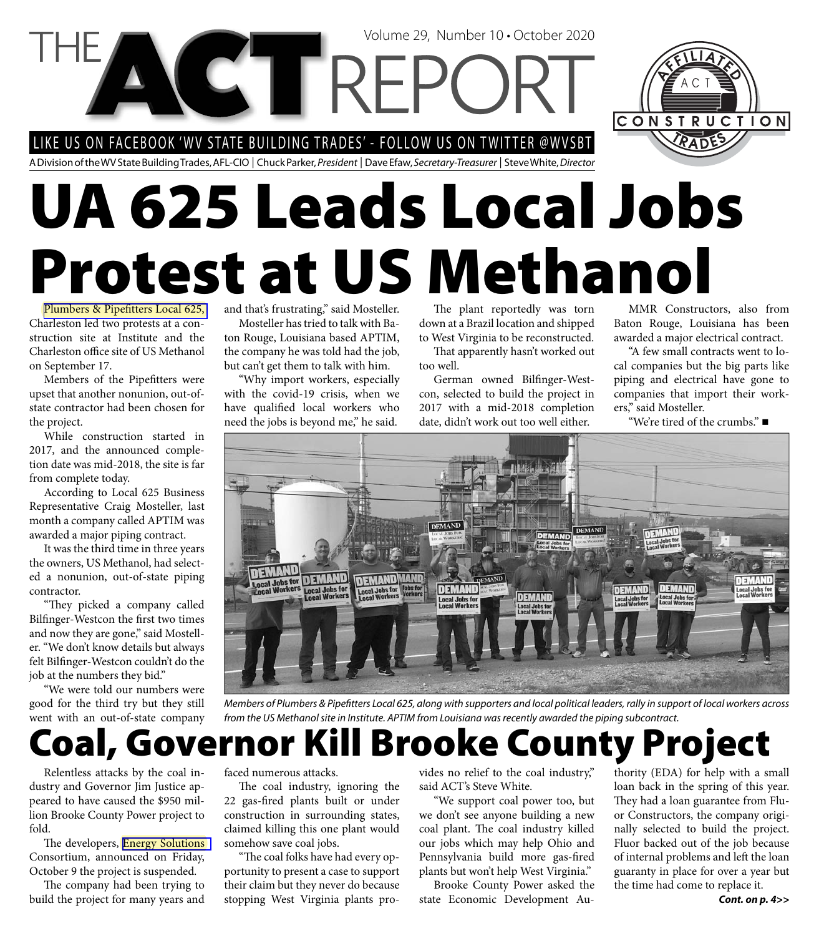LIKE US ON FACEBOOK 'WV STATE BUILDING TRADES' - FOLLOW US ON TWITTER @WVSBT

**CETTREI** 

A Division of the WV State Building Trades, AFL-CIO | Chuck Parker, President | Dave Efaw, Secretary-Treasurer | Steve White, Director

# **UA 625 Leads Local Jobs Protest at US Methanol**

Plumbers & Pipefitters Local 625, Charleston led two protests at a construction site at Institute and the Charleston office site of US Methanol on September 17.

Members of the Pipefitters were upset that another nonunion, out-ofstate contractor had been chosen for the project.

While construction started in 2017, and the announced completion date was mid-2018, the site is far from complete today.

According to Local 625 Business Representative Craig Mosteller, last month a company called APTIM was awarded a major piping contract.

It was the third time in three years the owners, US Methanol, had selected a nonunion, out-of-state piping contractor.

"They picked a company called Bilfinger-Westcon the first two times and now they are gone," said Mosteller. "We don't know details but always felt Bilfinger-Westcon couldn't do the job at the numbers they bid."

"We were told our numbers were good for the third try but they still went with an out-of-state company and that's frustrating," said Mosteller.

Mosteller has tried to talk with Baton Rouge, Louisiana based APTIM, the company he was told had the job, but can't get them to talk with him.

"Why import workers, especially with the covid-19 crisis, when we have qualified local workers who need the jobs is beyond me," he said.

The plant reportedly was torn down at a Brazil location and shipped to West Virginia to be reconstructed.

That apparently hasn't worked out too well.

Volume 29, Number 10 • October 2020

German owned Bilfinger-Westcon, selected to build the project in 2017 with a mid-2018 completion date, didn't work out too well either.

MMR Constructors, also from Baton Rouge, Louisiana has been awarded a major electrical contract.

CONSTRUCTION

"A few small contracts went to local companies but the big parts like piping and electrical have gone to companies that import their workers," said Mosteller.

"We're tired of the crumbs."



Members of Plumbers & Pipefitters Local 625, along with supporters and local political leaders, rally in support of local workers across from the US Methanol site in Institute. APTIM from Louisiana was recently awarded the piping subcontract.

#### **Coal, Governor Kill Brooke County Project**

Relentless attacks by the coal industry and Governor Jim Justice appeared to have caused the \$950 million Brooke County Power project to fold.

The developers, Energy Solutions Consortium, announced on Friday, October 9 the project is suspended.

The company had been trying to build the project for many years and faced numerous attacks.

The coal industry, ignoring the 22 gas-fired plants built or under construction in surrounding states, claimed killing this one plant would somehow save coal jobs.

"The coal folks have had every opportunity to present a case to support their claim but they never do because stopping West Virginia plants provides no relief to the coal industry," said ACT's Steve White.

"We support coal power too, but we don't see anyone building a new coal plant. The coal industry killed our jobs which may help Ohio and Pennsylvania build more gas-fired plants but won't help West Virginia."

Brooke County Power asked the state Economic Development Au-

thority (EDA) for help with a small loan back in the spring of this year. They had a loan guarantee from Fluor Constructors, the company originally selected to build the project. Fluor backed out of the job because of internal problems and left the loan guaranty in place for over a year but the time had come to replace it.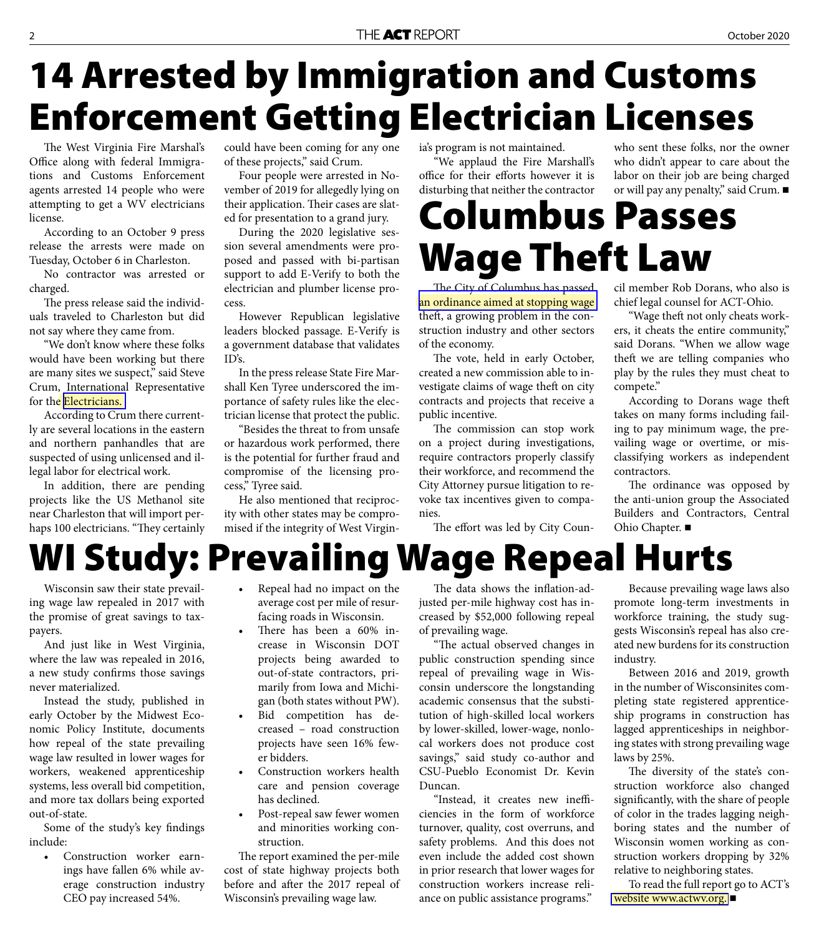#### 2 October 2020

#### **14 Arrested by Immigration and Customs Enforcement Getting Electrician Licenses** who sent these folks, nor the owner

The West Virginia Fire Marshal's Office along with federal Immigrations and Customs Enforcement agents arrested 14 people who were attempting to get a WV electricians license.

According to an October 9 press release the arrests were made on Tuesday, October 6 in Charleston.

No contractor was arrested or charged.

The press release said the individuals traveled to Charleston but did not say where they came from.

"We don't know where these folks would have been working but there are many sites we suspect," said Steve Crum, International Representative for the [Electricians.](http://www.ibew.org/)

According to Crum there currently are several locations in the eastern and northern panhandles that are suspected of using unlicensed and illegal labor for electrical work.

In addition, there are pending projects like the US Methanol site near Charleston that will import perhaps 100 electricians. "They certainly could have been coming for any one of these projects," said Crum.

Four people were arrested in November of 2019 for allegedly lying on their application. Their cases are slated for presentation to a grand jury.

During the 2020 legislative session several amendments were proposed and passed with bi-partisan support to add E-Verify to both the electrician and plumber license process.

However Republican legislative leaders blocked passage. E-Verify is a government database that validates ID's.

In the press release State Fire Marshall Ken Tyree underscored the importance of safety rules like the electrician license that protect the public.

"Besides the threat to from unsafe or hazardous work performed, there is the potential for further fraud and compromise of the licensing process," Tyree said.

He also mentioned that reciprocity with other states may be compromised if the integrity of West Virginia's program is not maintained.

"We applaud the Fire Marshall's office for their efforts however it is disturbing that neither the contractor

**Columbus Passes Wage Theft Law**

The City of Columbus has passed [an ordinance aimed at stopping wage](https://columbus.legistar.com/LegislationDetail.aspx?ID=4600288&GUID=3325EAFC-6710-42AE-80D9-E0E0952FE3A3&Options=ID%7CText%7C&Search=1802-2020)  theft, a growing problem in the construction industry and other sectors of the economy.

The vote, held in early October, created a new commission able to investigate claims of wage theft on city contracts and projects that receive a public incentive.

The commission can stop work on a project during investigations, require contractors properly classify their workforce, and recommend the City Attorney pursue litigation to revoke tax incentives given to companies.

The effort was led by City Coun-

cil member Rob Dorans, who also is chief legal counsel for ACT-Ohio.

who didn't appear to care about the labor on their job are being charged or will pay any penalty," said Crum. ■

"Wage theft not only cheats workers, it cheats the entire community," said Dorans. "When we allow wage theft we are telling companies who play by the rules they must cheat to compete."

According to Dorans wage theft takes on many forms including failing to pay minimum wage, the prevailing wage or overtime, or misclassifying workers as independent contractors.

The ordinance was opposed by the anti-union group the Associated Builders and Contractors, Central Ohio Chapter.

### **WI Study: Prevailing Wage Repeal Hurts**

Wisconsin saw their state prevailing wage law repealed in 2017 with the promise of great savings to taxpayers.

And just like in West Virginia, where the law was repealed in 2016, a new study confirms those savings never materialized.

Instead the study, published in early October by the Midwest Economic Policy Institute, documents how repeal of the state prevailing wage law resulted in lower wages for workers, weakened apprenticeship systems, less overall bid competition, and more tax dollars being exported out-of-state.

Some of the study's key findings include:

• Construction worker earnings have fallen 6% while average construction industry CEO pay increased 54%.

- Repeal had no impact on the average cost per mile of resurfacing roads in Wisconsin.
- There has been a 60% increase in Wisconsin DOT projects being awarded to out-of-state contractors, primarily from Iowa and Michigan (both states without PW).
- Bid competition has decreased – road construction projects have seen 16% fewer bidders.
- Construction workers health care and pension coverage has declined.
- Post-repeal saw fewer women and minorities working construction.

The report examined the per-mile cost of state highway projects both before and after the 2017 repeal of Wisconsin's prevailing wage law.

The data shows the inflation-adjusted per-mile highway cost has increased by \$52,000 following repeal of prevailing wage.

"The actual observed changes in public construction spending since repeal of prevailing wage in Wisconsin underscore the longstanding academic consensus that the substitution of high-skilled local workers by lower-skilled, lower-wage, nonlocal workers does not produce cost savings," said study co-author and CSU-Pueblo Economist Dr. Kevin Duncan.

"Instead, it creates new inefficiencies in the form of workforce turnover, quality, cost overruns, and safety problems. And this does not even include the added cost shown in prior research that lower wages for construction workers increase reliance on public assistance programs."

Because prevailing wage laws also promote long-term investments in workforce training, the study suggests Wisconsin's repeal has also created new burdens for its construction industry.

Between 2016 and 2019, growth in the number of Wisconsinites completing state registered apprenticeship programs in construction has lagged apprenticeships in neighboring states with strong prevailing wage laws by 25%.

The diversity of the state's construction workforce also changed significantly, with the share of people of color in the trades lagging neighboring states and the number of Wisconsin women working as construction workers dropping by 32% relative to neighboring states.

To read the full report go to ACT's [website www.actwv.org.](http://www.actwv.org/library/Prevailing%20Wage/mepi-csu-wisconsin-repeal-study-final.pdf) ■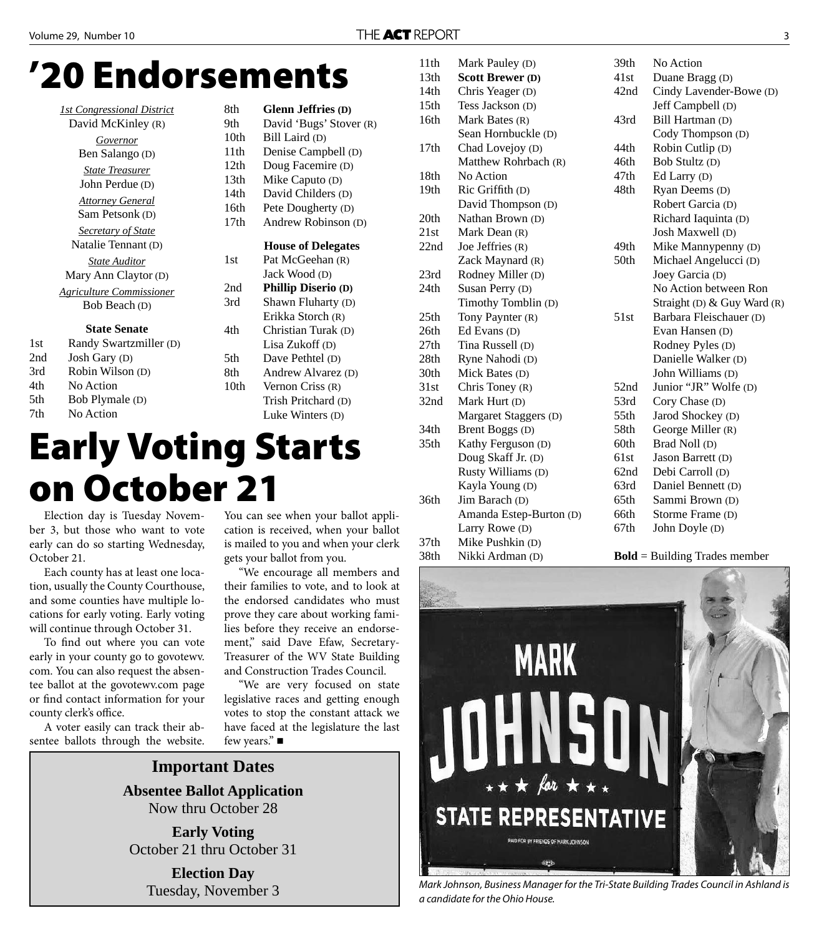### **'20 Endorsements**

|     | <b>1st Congressional District</b> | 8th  | <b>Glenn Jeffries (D)</b>  |
|-----|-----------------------------------|------|----------------------------|
|     | David McKinley (R)                | 9th  | David 'Bugs' Stover (R)    |
|     | Governor                          | 10th | Bill Laird (D)             |
|     | Ben Salango (D)                   | 11th | Denise Campbell (D)        |
|     | <b>State Treasurer</b>            | 12th | Doug Facemire (D)          |
|     | John Perdue (D)                   | 13th | Mike Caputo (D)            |
|     |                                   | 14th | David Childers (D)         |
|     | <b>Attorney General</b>           | 16th | Pete Dougherty (D)         |
|     | Sam Petsonk (D)                   | 17th | Andrew Robinson (D)        |
|     | <b>Secretary of State</b>         |      |                            |
|     | Natalie Tennant (D)               |      | <b>House of Delegates</b>  |
|     | <b>State Auditor</b>              | 1st  | Pat McGeehan (R)           |
|     | Mary Ann Claytor (D)              |      | Jack Wood (D)              |
|     | <b>Agriculture Commissioner</b>   | 2nd  | <b>Phillip Diserio (D)</b> |
|     | Bob Beach (D)                     | 3rd  | Shawn Fluharty (D)         |
|     |                                   |      | Erikka Storch (R)          |
|     | <b>State Senate</b>               | 4th  | Christian Turak (D)        |
| 1st | Randy Swartzmiller (D)            |      | Lisa Zukoff (D)            |
| 2nd | Josh Gary (D)                     | 5th  | Dave Pethtel (D)           |
| 3rd | Robin Wilson (D)                  | 8th  | Andrew Alvarez (D)         |
| 4th | No Action                         | 10th | Vernon Criss (R)           |

| 13th | Mike Caputo (D)            |  |  |
|------|----------------------------|--|--|
| 14th | David Childers (D)         |  |  |
| 16th | Pete Dougherty (D)         |  |  |
| 17th | Andrew Robinson (D)        |  |  |
|      | <b>House of Delegates</b>  |  |  |
| 1st  | Pat McGeehan (R)           |  |  |
|      | Jack Wood (D)              |  |  |
| 2nd  | <b>Phillip Diserio (D)</b> |  |  |
| 3rd  | Shawn Fluharty (D)         |  |  |
|      | Erikka Storch (R)          |  |  |
| 4th  | Christian Turak (D)        |  |  |
|      | Lisa Zukoff (D)            |  |  |
| 5th  | Dave Pethtel (D)           |  |  |
| 8th  | Andrew Alvarez (D)         |  |  |
| 10th | Vernon Criss (R)           |  |  |
|      | Trish Pritchard (D)        |  |  |
|      | Luke Winters (D)           |  |  |

## **Early Voting Starts on October 21**

Election day is Tuesday November 3, but those who want to vote early can do so starting Wednesday, October 21.

5th Bob Plymale (D) 7th No Action

Each county has at least one location, usually the County Courthouse, and some counties have multiple locations for early voting. Early voting will continue through October 31.

To find out where you can vote early in your county go to govotewv. com. You can also request the absentee ballot at the govotewv.com page or find contact information for your county clerk's office.

A voter easily can track their absentee ballots through the website.

You can see when your ballot application is received, when your ballot is mailed to you and when your clerk gets your ballot from you.

"We encourage all members and their families to vote, and to look at the endorsed candidates who must prove they care about working families before they receive an endorsement," said Dave Efaw, Secretary-Treasurer of the WV State Building and Construction Trades Council.

"We are very focused on state legislative races and getting enough votes to stop the constant attack we have faced at the legislature the last few years." ■

**Important Dates Absentee Ballot Application** Now thru October 28

**Early Voting** October 21 thru October 31

**Election Day** Tuesday, November 3

| 11th             | Mark Pauley (D)         | 39th | No Action                       |
|------------------|-------------------------|------|---------------------------------|
| 13th             | <b>Scott Brewer (D)</b> | 41st | Duane Bragg (D)                 |
| 14th             | Chris Yeager (D)        | 42nd | Cindy Lavender-Bowe (D)         |
| 15 <sup>th</sup> | Tess Jackson (D)        |      | Jeff Campbell (D)               |
| 16th             | Mark Bates (R)          | 43rd | Bill Hartman (D)                |
|                  | Sean Hornbuckle (D)     |      | Cody Thompson (D)               |
| 17th             | Chad Lovejoy (D)        | 44th | Robin Cutlip (D)                |
|                  | Matthew Rohrbach (R)    | 46th | Bob Stultz (D)                  |
| 18th             | No Action               | 47th | Ed Larry (D)                    |
| 19th             | Ric Griffith (D)        | 48th | Ryan Deems (D)                  |
|                  | David Thompson (D)      |      | Robert Garcia (D)               |
| 20th             | Nathan Brown (D)        |      | Richard Iaquinta (D)            |
| 21st             | Mark Dean (R)           |      | Josh Maxwell (D)                |
| 22nd             | Joe Jeffries (R)        | 49th | Mike Mannypenny (D)             |
|                  | Zack Maynard (R)        | 50th | Michael Angelucci (D)           |
| 23rd             | Rodney Miller (D)       |      | Joey Garcia (D)                 |
| 24th             | Susan Perry (D)         |      | No Action between Ron           |
|                  | Timothy Tomblin (D)     |      | Straight (D) & Guy Ward (R)     |
| 25th             | Tony Paynter (R)        | 51st | Barbara Fleischauer (D)         |
| 26th             | Ed Evans (D)            |      | Evan Hansen (D)                 |
| 27th             | Tina Russell (D)        |      | Rodney Pyles (D)                |
| 28th             | Ryne Nahodi (D)         |      | Danielle Walker (D)             |
| 30th             | Mick Bates (D)          |      | John Williams (D)               |
| 31st             | Chris Toney $(R)$       | 52nd | Junior "JR" Wolfe (D)           |
| 32nd             | Mark Hurt (D)           | 53rd | Cory Chase (D)                  |
|                  | Margaret Staggers (D)   | 55th | Jarod Shockey (D)               |
| 34th             | Brent Boggs (D)         | 58th | George Miller (R)               |
| 35 <sub>th</sub> | Kathy Ferguson (D)      | 60th | Brad Noll (D)                   |
|                  | Doug Skaff Jr. (D)      | 61st | Jason Barrett (D)               |
|                  | Rusty Williams (D)      | 62nd | Debi Carroll (D)                |
|                  | Kayla Young (D)         | 63rd | Daniel Bennett (D)              |
| 36th             | Jim Barach (D)          | 65th | Sammi Brown (D)                 |
|                  | Amanda Estep-Burton (D) | 66th | Storme Frame (D)                |
|                  | Larry Rowe (D)          | 67th | John Doyle (D)                  |
| 37 <sub>th</sub> | Mike Pushkin (D)        |      |                                 |
| 38th             | Nikki Ardman (D)        |      | $Bold = Building$ Trades member |



Mark Johnson, Business Manager for the Tri-State Building Trades Council in Ashland is a candidate for the Ohio House.